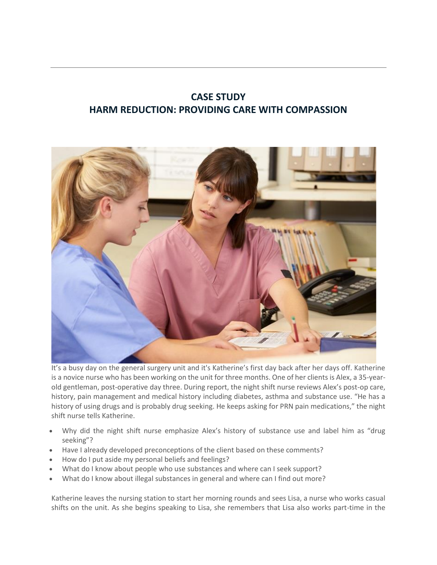## **CASE STUDY HARM REDUCTION: PROVIDING CARE WITH COMPASSION**



It's a busy day on the general surgery unit and it's Katherine's first day back after her days off. Katherine is a novice nurse who has been working on the unit for three months. One of her clients is Alex, a 35-yearold gentleman, post-operative day three. During report, the night shift nurse reviews Alex's post-op care, history, pain management and medical history including diabetes, asthma and substance use. "He has a history of using drugs and is probably drug seeking. He keeps asking for PRN pain medications," the night shift nurse tells Katherine.

- Why did the night shift nurse emphasize Alex's history of substance use and label him as "drug seeking"?
- Have I already developed preconceptions of the client based on these comments?
- How do I put aside my personal beliefs and feelings?
- What do I know about people who use substances and where can I seek support?
- What do I know about illegal substances in general and where can I find out more?

Katherine leaves the nursing station to start her morning rounds and sees Lisa, a nurse who works casual shifts on the unit. As she begins speaking to Lisa, she remembers that Lisa also works part-time in the